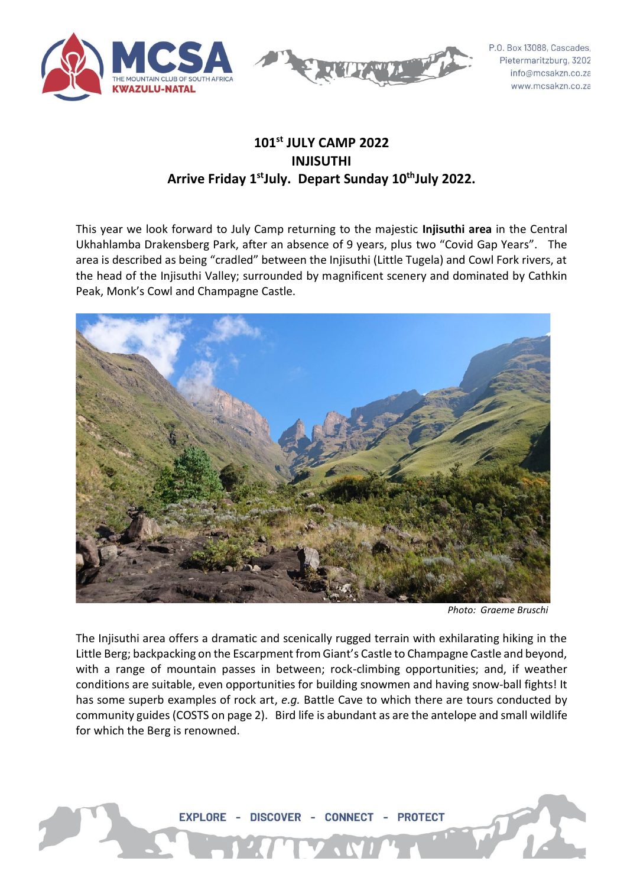



P.O. Box 13088, Cascades, Pietermaritzburg, 3202 info@mcsakzn.co.za www.mcsakzn.co.za

# **101st JULY CAMP 2022 INJISUTHI Arrive Friday 1 stJuly. Depart Sunday 10 thJuly 2022.**

This year we look forward to July Camp returning to the majestic **Injisuthi area** in the Central Ukhahlamba Drakensberg Park, after an absence of 9 years, plus two "Covid Gap Years". The area is described as being "cradled" between the Injisuthi (Little Tugela) and Cowl Fork rivers, at the head of the Injisuthi Valley; surrounded by magnificent scenery and dominated by Cathkin Peak, Monk's Cowl and Champagne Castle.



 *Photo: Graeme Bruschi*

The Injisuthi area offers a dramatic and scenically rugged terrain with exhilarating hiking in the Little Berg; backpacking on the Escarpment from Giant's Castle to Champagne Castle and beyond, with a range of mountain passes in between; rock-climbing opportunities; and, if weather conditions are suitable, even opportunities for building snowmen and having snow-ball fights! It has some superb examples of rock art, *e.g.* Battle Cave to which there are tours conducted by community guides (COSTS on page 2). Bird life is abundant as are the antelope and small wildlife for which the Berg is renowned.

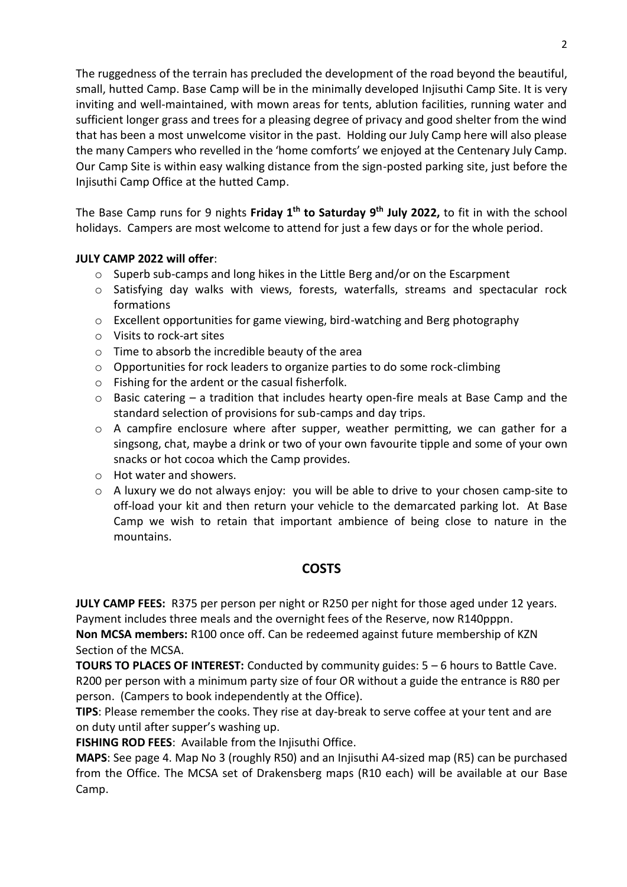The ruggedness of the terrain has precluded the development of the road beyond the beautiful, small, hutted Camp. Base Camp will be in the minimally developed Injisuthi Camp Site. It is very inviting and well-maintained, with mown areas for tents, ablution facilities, running water and sufficient longer grass and trees for a pleasing degree of privacy and good shelter from the wind that has been a most unwelcome visitor in the past. Holding our July Camp here will also please the many Campers who revelled in the 'home comforts' we enjoyed at the Centenary July Camp. Our Camp Site is within easy walking distance from the sign-posted parking site, just before the Injisuthi Camp Office at the hutted Camp.

The Base Camp runs for 9 nights **Friday 1 th to Saturday 9th July 2022,** to fit in with the school holidays. Campers are most welcome to attend for just a few days or for the whole period.

### **JULY CAMP 2022 will offer**:

- $\circ$  Superb sub-camps and long hikes in the Little Berg and/or on the Escarpment
- o Satisfying day walks with views, forests, waterfalls, streams and spectacular rock formations
- o Excellent opportunities for game viewing, bird-watching and Berg photography
- o Visits to rock-art sites
- o Time to absorb the incredible beauty of the area
- o Opportunities for rock leaders to organize parties to do some rock-climbing
- o Fishing for the ardent or the casual fisherfolk.
- $\circ$  Basic catering a tradition that includes hearty open-fire meals at Base Camp and the standard selection of provisions for sub-camps and day trips.
- $\circ$  A campfire enclosure where after supper, weather permitting, we can gather for a singsong, chat, maybe a drink or two of your own favourite tipple and some of your own snacks or hot cocoa which the Camp provides.
- o Hot water and showers.
- $\circ$  A luxury we do not always enjoy: you will be able to drive to your chosen camp-site to off-load your kit and then return your vehicle to the demarcated parking lot. At Base Camp we wish to retain that important ambience of being close to nature in the mountains.

## **COSTS**

**JULY CAMP FEES:** R375 per person per night or R250 per night for those aged under 12 years. Payment includes three meals and the overnight fees of the Reserve, now R140pppn.

**Non MCSA members:** R100 once off. Can be redeemed against future membership of KZN Section of the MCSA.

**TOURS TO PLACES OF INTEREST:** Conducted by community guides: 5 – 6 hours to Battle Cave. R200 per person with a minimum party size of four OR without a guide the entrance is R80 per person. (Campers to book independently at the Office).

**TIPS**: Please remember the cooks. They rise at day-break to serve coffee at your tent and are on duty until after supper's washing up.

**FISHING ROD FEES**: Available from the Injisuthi Office.

**MAPS**: See page 4. Map No 3 (roughly R50) and an Injisuthi A4-sized map (R5) can be purchased from the Office. The MCSA set of Drakensberg maps (R10 each) will be available at our Base Camp.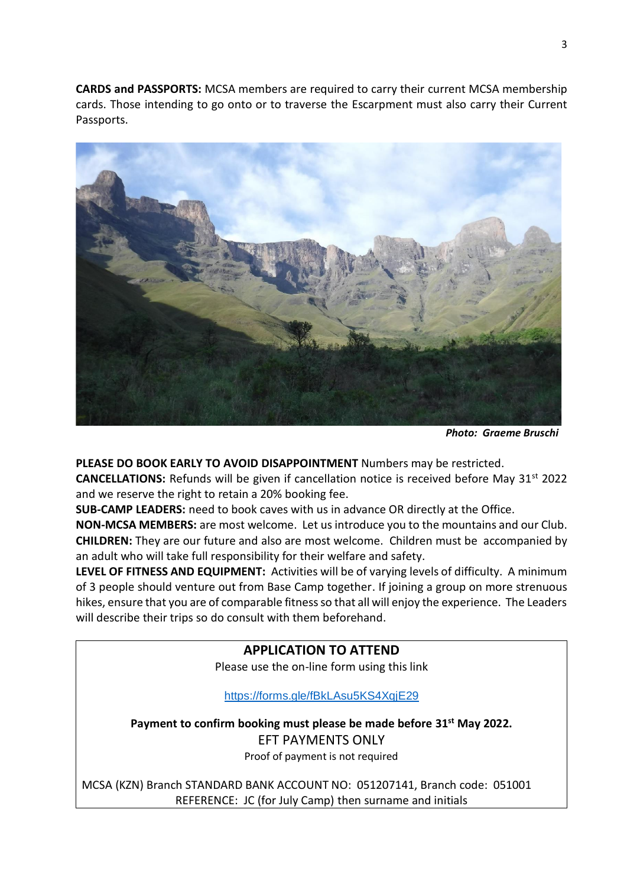**CARDS and PASSPORTS:** MCSA members are required to carry their current MCSA membership cards. Those intending to go onto or to traverse the Escarpment must also carry their Current Passports.



 *Photo: Graeme Bruschi*

**PLEASE DO BOOK EARLY TO AVOID DISAPPOINTMENT** Numbers may be restricted.

**CANCELLATIONS:** Refunds will be given if cancellation notice is received before May 31<sup>st</sup> 2022 and we reserve the right to retain a 20% booking fee.

**SUB-CAMP LEADERS:** need to book caves with us in advance OR directly at the Office.

**NON-MCSA MEMBERS:** are most welcome. Let us introduce you to the mountains and our Club. **CHILDREN:** They are our future and also are most welcome. Children must be accompanied by an adult who will take full responsibility for their welfare and safety.

**LEVEL OF FITNESS AND EQUIPMENT:** Activities will be of varying levels of difficulty. A minimum of 3 people should venture out from Base Camp together. If joining a group on more strenuous hikes, ensure that you are of comparable fitness so that all will enjoy the experience. The Leaders will describe their trips so do consult with them beforehand.

### **APPLICATION TO ATTEND**

Please use the on-line form using this link

<https://forms.gle/fBkLAsu5KS4XqjE29>

**Payment to confirm booking must please be made before 31st May 2022.**  EFT PAYMENTS ONLY Proof of payment is not required

MCSA (KZN) Branch STANDARD BANK ACCOUNT NO: 051207141, Branch code: 051001 REFERENCE: JC (for July Camp) then surname and initials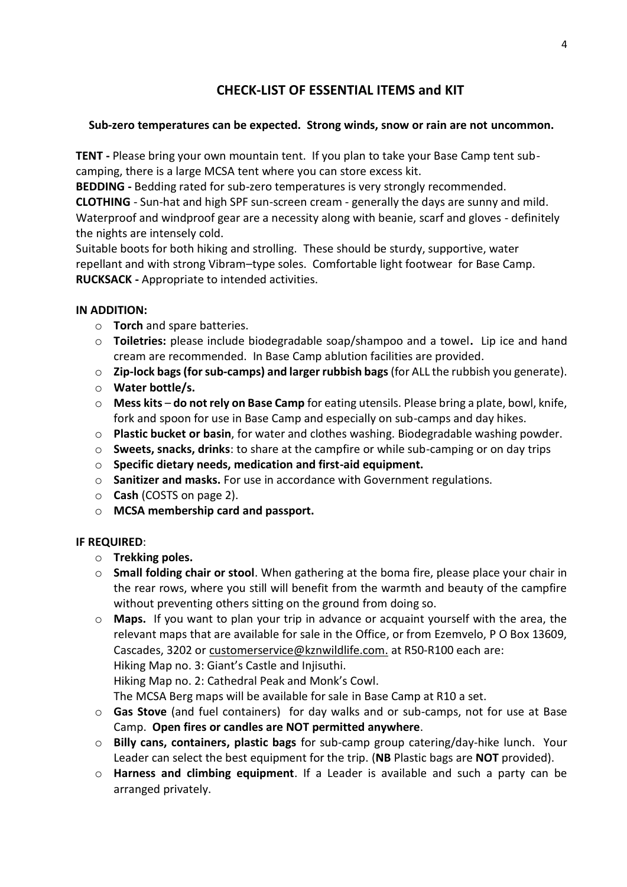# **CHECK-LIST OF ESSENTIAL ITEMS and KIT**

### **Sub-zero temperatures can be expected. Strong winds, snow or rain are not uncommon.**

**TENT -** Please bring your own mountain tent. If you plan to take your Base Camp tent subcamping, there is a large MCSA tent where you can store excess kit.

**BEDDING -** Bedding rated for sub-zero temperatures is very strongly recommended.

**CLOTHING** - Sun-hat and high SPF sun-screen cream - generally the days are sunny and mild. Waterproof and windproof gear are a necessity along with beanie, scarf and gloves - definitely the nights are intensely cold.

Suitable boots for both hiking and strolling. These should be sturdy, supportive, water repellant and with strong Vibram–type soles. Comfortable light footwear for Base Camp. **RUCKSACK -** Appropriate to intended activities.

### **IN ADDITION:**

- o **Torch** and spare batteries.
- o **Toiletries:** please include biodegradable soap/shampoo and a towel**.** Lip ice and hand cream are recommended. In Base Camp ablution facilities are provided.
- o **Zip-lock bags (for sub-camps) and larger rubbish bags**(for ALL the rubbish you generate).
- o **Water bottle/s.**
- o **Mess kits do not rely on Base Camp** for eating utensils. Please bring a plate, bowl, knife, fork and spoon for use in Base Camp and especially on sub-camps and day hikes.
- o **Plastic bucket or basin**, for water and clothes washing. Biodegradable washing powder.
- o **Sweets, snacks, drinks**: to share at the campfire or while sub-camping or on day trips
- o **Specific dietary needs, medication and first-aid equipment.**
- o **Sanitizer and masks.** For use in accordance with Government regulations.
- o **Cash** (COSTS on page 2).
- o **MCSA membership card and passport.**

### **IF REQUIRED**:

- o **Trekking poles.**
- o **Small folding chair or stool**. When gathering at the boma fire, please place your chair in the rear rows, where you still will benefit from the warmth and beauty of the campfire without preventing others sitting on the ground from doing so.
- o **Maps.** If you want to plan your trip in advance or acquaint yourself with the area, the relevant maps that are available for sale in the Office, or from Ezemvelo, P O Box 13609, Cascades, 3202 or [customerservice@kznwildlife.com.](mailto:customerservice@kznwildlife.com) at R50-R100 each are: Hiking Map no. 3: Giant's Castle and Injisuthi. Hiking Map no. 2: Cathedral Peak and Monk's Cowl.

The MCSA Berg maps will be available for sale in Base Camp at R10 a set.

- o **Gas Stove** (and fuel containers) for day walks and or sub-camps, not for use at Base Camp. **Open fires or candles are NOT permitted anywhere**.
- o **Billy cans, containers, plastic bags** for sub-camp group catering/day-hike lunch. Your Leader can select the best equipment for the trip. (**NB** Plastic bags are **NOT** provided).
- o **Harness and climbing equipment**. If a Leader is available and such a party can be arranged privately.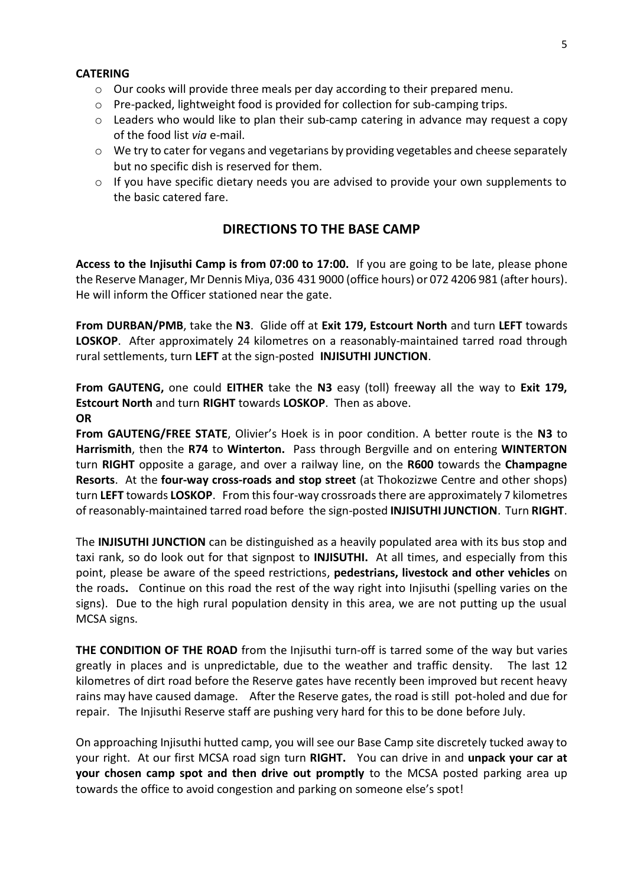#### **CATERING**

- $\circ$  Our cooks will provide three meals per day according to their prepared menu.
- $\circ$  Pre-packed, lightweight food is provided for collection for sub-camping trips.
- o Leaders who would like to plan their sub-camp catering in advance may request a copy of the food list *via* e-mail.
- $\circ$  We try to cater for vegans and vegetarians by providing vegetables and cheese separately but no specific dish is reserved for them.
- $\circ$  If you have specific dietary needs you are advised to provide your own supplements to the basic catered fare.

## **DIRECTIONS TO THE BASE CAMP**

**Access to the Injisuthi Camp is from 07:00 to 17:00.** If you are going to be late, please phone the Reserve Manager, Mr Dennis Miya, 036 431 9000 (office hours) or 072 4206 981 (after hours). He will inform the Officer stationed near the gate.

**From DURBAN/PMB**, take the **N3**. Glide off at **Exit 179, Estcourt North** and turn **LEFT** towards **LOSKOP**. After approximately 24 kilometres on a reasonably-maintained tarred road through rural settlements, turn **LEFT** at the sign-posted **INJISUTHI JUNCTION**.

**From GAUTENG,** one could **EITHER** take the **N3** easy (toll) freeway all the way to **Exit 179, Estcourt North** and turn **RIGHT** towards **LOSKOP**. Then as above.

**OR**

**From GAUTENG/FREE STATE**, Olivier's Hoek is in poor condition. A better route is the **N3** to **Harrismith**, then the **R74** to **Winterton.** Pass through Bergville and on entering **WINTERTON** turn **RIGHT** opposite a garage, and over a railway line, on the **R600** towards the **Champagne Resorts**. At the **four-way cross-roads and stop street** (at Thokozizwe Centre and other shops) turn **LEFT** towards **LOSKOP**. From this four-way crossroadsthere are approximately 7 kilometres of reasonably-maintained tarred road before the sign-posted **INJISUTHI JUNCTION**. Turn **RIGHT**.

The **INJISUTHI JUNCTION** can be distinguished as a heavily populated area with its bus stop and taxi rank, so do look out for that signpost to **INJISUTHI.** At all times, and especially from this point, please be aware of the speed restrictions, **pedestrians, livestock and other vehicles** on the roads**.** Continue on this road the rest of the way right into Injisuthi (spelling varies on the signs).Due to the high rural population density in this area, we are not putting up the usual MCSA signs.

**THE CONDITION OF THE ROAD** from the Injisuthi turn-off is tarred some of the way but varies greatly in places and is unpredictable, due to the weather and traffic density. The last 12 kilometres of dirt road before the Reserve gates have recently been improved but recent heavy rains may have caused damage. After the Reserve gates, the road is still pot-holed and due for repair. The Injisuthi Reserve staff are pushing very hard for this to be done before July.

On approaching Injisuthi hutted camp, you will see our Base Camp site discretely tucked away to your right. At our first MCSA road sign turn **RIGHT.** You can drive in and **unpack your car at your chosen camp spot and then drive out promptly** to the MCSA posted parking area up towards the office to avoid congestion and parking on someone else's spot!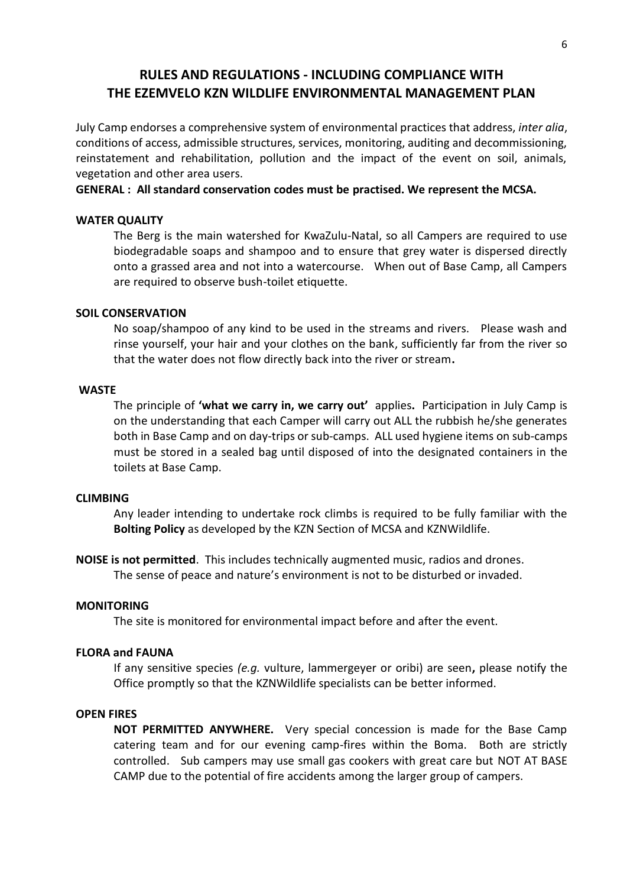# **RULES AND REGULATIONS - INCLUDING COMPLIANCE WITH THE EZEMVELO KZN WILDLIFE ENVIRONMENTAL MANAGEMENT PLAN**

July Camp endorses a comprehensive system of environmental practices that address, *inter alia*, conditions of access, admissible structures, services, monitoring, auditing and decommissioning, reinstatement and rehabilitation, pollution and the impact of the event on soil, animals, vegetation and other area users.

#### **GENERAL : All standard conservation codes must be practised. We represent the MCSA.**

#### **WATER QUALITY**

The Berg is the main watershed for KwaZulu-Natal, so all Campers are required to use biodegradable soaps and shampoo and to ensure that grey water is dispersed directly onto a grassed area and not into a watercourse. When out of Base Camp, all Campers are required to observe bush-toilet etiquette.

#### **SOIL CONSERVATION**

No soap/shampoo of any kind to be used in the streams and rivers. Please wash and rinse yourself, your hair and your clothes on the bank, sufficiently far from the river so that the water does not flow directly back into the river or stream**.**

#### **WASTE**

The principle of **'what we carry in, we carry out'** applies**.** Participation in July Camp is on the understanding that each Camper will carry out ALL the rubbish he/she generates both in Base Camp and on day-trips or sub-camps. ALL used hygiene items on sub-camps must be stored in a sealed bag until disposed of into the designated containers in the toilets at Base Camp.

#### **CLIMBING**

Any leader intending to undertake rock climbs is required to be fully familiar with the **Bolting Policy** as developed by the KZN Section of MCSA and KZNWildlife.

**NOISE is not permitted**. This includes technically augmented music, radios and drones. The sense of peace and nature's environment is not to be disturbed or invaded.

#### **MONITORING**

The site is monitored for environmental impact before and after the event.

### **FLORA and FAUNA**

If any sensitive species *(e.g.* vulture, lammergeyer or oribi) are seen**,** please notify the Office promptly so that the KZNWildlife specialists can be better informed.

#### **OPEN FIRES**

**NOT PERMITTED ANYWHERE.** Very special concession is made for the Base Camp catering team and for our evening camp-fires within the Boma. Both are strictly controlled. Sub campers may use small gas cookers with great care but NOT AT BASE CAMP due to the potential of fire accidents among the larger group of campers.